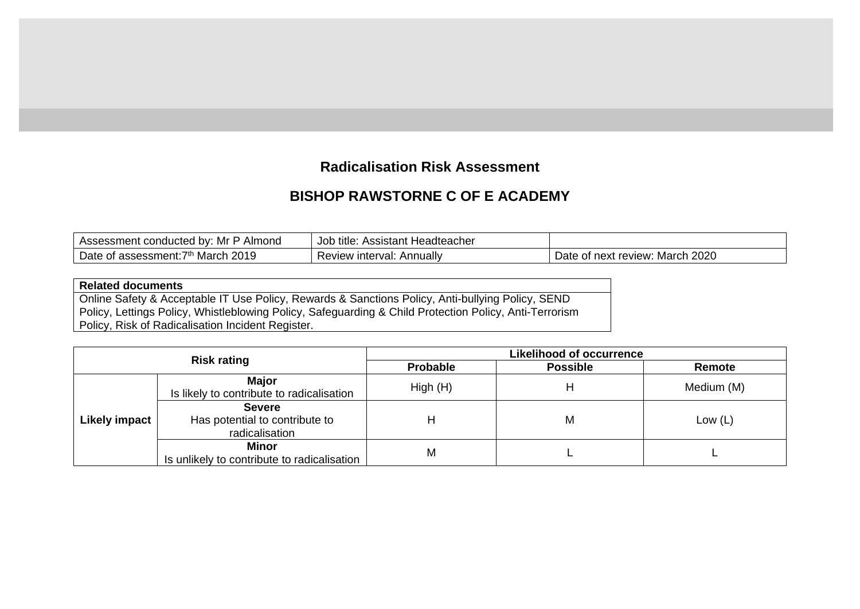## **Radicalisation Risk Assessment**

## **BISHOP RAWSTORNE C OF E ACADEMY**

| I Assessment conducted by: Mr P Almond_ | Assistant Headteacher<br>Job title: |                      |
|-----------------------------------------|-------------------------------------|----------------------|
| Date of assessment:                     | <b>Annually</b>                     | -2020                |
| 2019                                    | v interval: .                       | March                |
| <sup>7th</sup> March                    | Review                              | Date of next review: |

## **Related documents**

Online Safety & Acceptable IT Use Policy, Rewards & Sanctions Policy, Anti-bullying Policy, SEND Policy, Lettings Policy, Whistleblowing Policy, Safeguarding & Child Protection Policy, Anti-Terrorism Policy, Risk of Radicalisation Incident Register.

| <b>Risk rating</b>   |                                                                   | <b>Likelihood of occurrence</b> |                 |            |  |  |  |
|----------------------|-------------------------------------------------------------------|---------------------------------|-----------------|------------|--|--|--|
|                      |                                                                   | <b>Probable</b>                 | <b>Possible</b> | Remote     |  |  |  |
| <b>Likely impact</b> | <b>Major</b><br>Is likely to contribute to radicalisation         | High(H)                         | н               | Medium (M) |  |  |  |
|                      | <b>Severe</b><br>Has potential to contribute to<br>radicalisation | Н                               | M               | Low $(L)$  |  |  |  |
|                      | Minor<br>Is unlikely to contribute to radicalisation              | M                               |                 |            |  |  |  |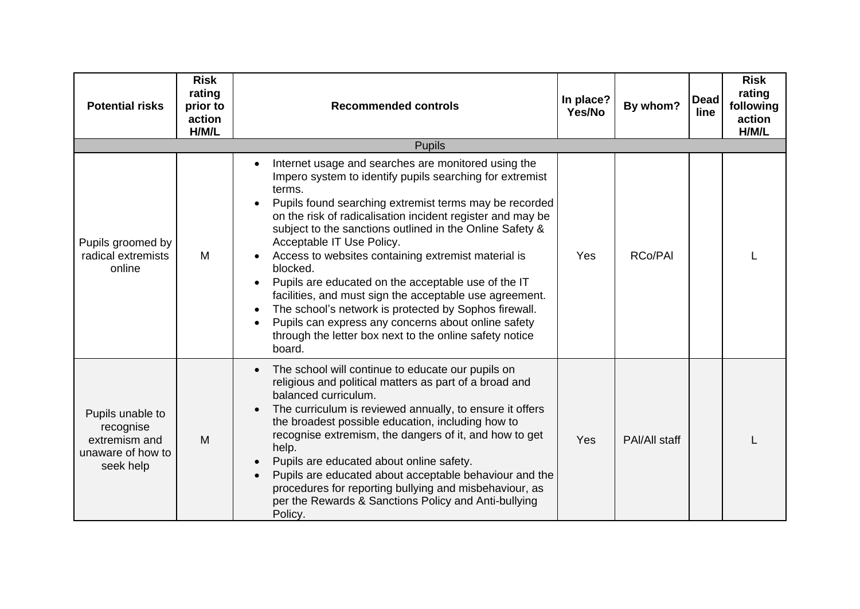| <b>Potential risks</b>                                                           | <b>Risk</b><br>rating<br>prior to<br>action<br>H/M/L | <b>Recommended controls</b>                                                                                                                                                                                                                                                                                                                                                                                                                                                                                                                                                                                                                                                                                          | In place?<br>Yes/No | By whom?      | <b>Dead</b><br>line | <b>Risk</b><br>rating<br>following<br>action<br>H/M/L |
|----------------------------------------------------------------------------------|------------------------------------------------------|----------------------------------------------------------------------------------------------------------------------------------------------------------------------------------------------------------------------------------------------------------------------------------------------------------------------------------------------------------------------------------------------------------------------------------------------------------------------------------------------------------------------------------------------------------------------------------------------------------------------------------------------------------------------------------------------------------------------|---------------------|---------------|---------------------|-------------------------------------------------------|
|                                                                                  |                                                      | <b>Pupils</b>                                                                                                                                                                                                                                                                                                                                                                                                                                                                                                                                                                                                                                                                                                        |                     |               |                     |                                                       |
| Pupils groomed by<br>radical extremists<br>online                                | M                                                    | Internet usage and searches are monitored using the<br>Impero system to identify pupils searching for extremist<br>terms.<br>Pupils found searching extremist terms may be recorded<br>on the risk of radicalisation incident register and may be<br>subject to the sanctions outlined in the Online Safety &<br>Acceptable IT Use Policy.<br>Access to websites containing extremist material is<br>blocked.<br>Pupils are educated on the acceptable use of the IT<br>facilities, and must sign the acceptable use agreement.<br>The school's network is protected by Sophos firewall.<br>Pupils can express any concerns about online safety<br>through the letter box next to the online safety notice<br>board. | Yes                 | RCo/PAI       |                     |                                                       |
| Pupils unable to<br>recognise<br>extremism and<br>unaware of how to<br>seek help | M                                                    | The school will continue to educate our pupils on<br>religious and political matters as part of a broad and<br>balanced curriculum.<br>The curriculum is reviewed annually, to ensure it offers<br>$\bullet$<br>the broadest possible education, including how to<br>recognise extremism, the dangers of it, and how to get<br>help.<br>Pupils are educated about online safety.<br>Pupils are educated about acceptable behaviour and the<br>$\bullet$<br>procedures for reporting bullying and misbehaviour, as<br>per the Rewards & Sanctions Policy and Anti-bullying<br>Policy.                                                                                                                                 | Yes                 | PAI/All staff |                     |                                                       |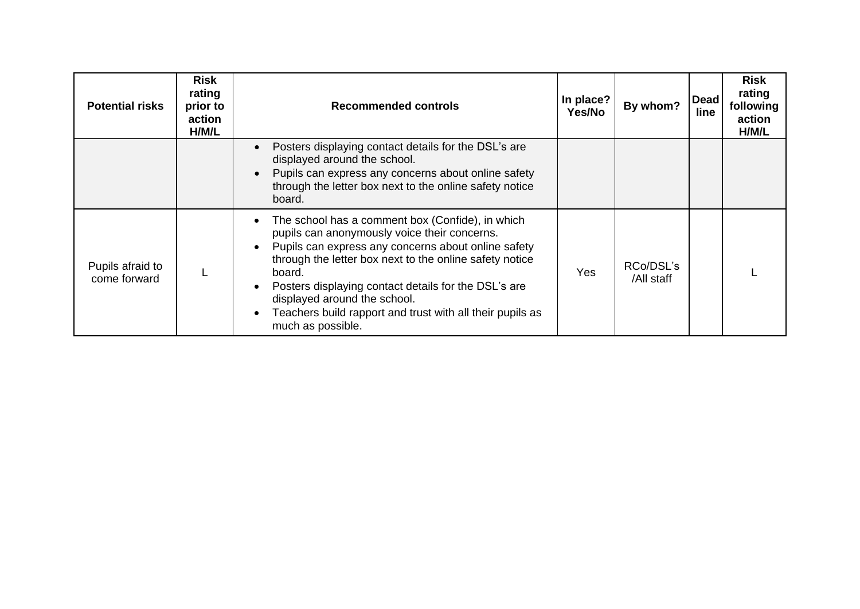| <b>Potential risks</b>           | <b>Risk</b><br>rating<br>prior to<br>action<br>H/M/L | <b>Recommended controls</b>                                                                                                                                                                                                                                                                                                                                                                            | In place?<br>Yes/No | By whom?                | <b>Dead</b><br>line | <b>Risk</b><br>rating<br>following<br>action<br>H/M/L |
|----------------------------------|------------------------------------------------------|--------------------------------------------------------------------------------------------------------------------------------------------------------------------------------------------------------------------------------------------------------------------------------------------------------------------------------------------------------------------------------------------------------|---------------------|-------------------------|---------------------|-------------------------------------------------------|
|                                  |                                                      | Posters displaying contact details for the DSL's are<br>displayed around the school.<br>Pupils can express any concerns about online safety<br>through the letter box next to the online safety notice<br>board.                                                                                                                                                                                       |                     |                         |                     |                                                       |
| Pupils afraid to<br>come forward |                                                      | The school has a comment box (Confide), in which<br>pupils can anonymously voice their concerns.<br>Pupils can express any concerns about online safety<br>through the letter box next to the online safety notice<br>board.<br>Posters displaying contact details for the DSL's are<br>displayed around the school.<br>Teachers build rapport and trust with all their pupils as<br>much as possible. | Yes                 | RCo/DSL's<br>/All staff |                     |                                                       |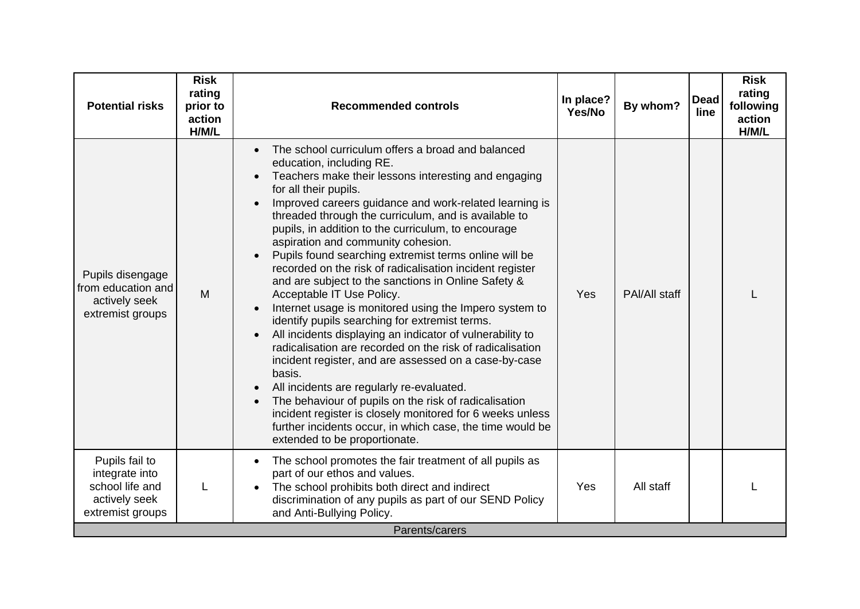| <b>Potential risks</b>                                                                   | <b>Risk</b><br>rating<br>prior to<br>action<br>H/M/L | <b>Recommended controls</b>                                                                                                                                                                                                                                                                                                                                                                                                                                                                                                                                                                                                                                                                                                                                                                                                                                                                                                                                                                                                                                                                                                                                                   | In place?<br>Yes/No | By whom?      | <b>Dead</b><br>line | <b>Risk</b><br>rating<br>following<br>action<br>H/M/L |
|------------------------------------------------------------------------------------------|------------------------------------------------------|-------------------------------------------------------------------------------------------------------------------------------------------------------------------------------------------------------------------------------------------------------------------------------------------------------------------------------------------------------------------------------------------------------------------------------------------------------------------------------------------------------------------------------------------------------------------------------------------------------------------------------------------------------------------------------------------------------------------------------------------------------------------------------------------------------------------------------------------------------------------------------------------------------------------------------------------------------------------------------------------------------------------------------------------------------------------------------------------------------------------------------------------------------------------------------|---------------------|---------------|---------------------|-------------------------------------------------------|
| Pupils disengage<br>from education and<br>actively seek<br>extremist groups              | M                                                    | The school curriculum offers a broad and balanced<br>education, including RE.<br>Teachers make their lessons interesting and engaging<br>for all their pupils.<br>Improved careers guidance and work-related learning is<br>$\bullet$<br>threaded through the curriculum, and is available to<br>pupils, in addition to the curriculum, to encourage<br>aspiration and community cohesion.<br>Pupils found searching extremist terms online will be<br>recorded on the risk of radicalisation incident register<br>and are subject to the sanctions in Online Safety &<br>Acceptable IT Use Policy.<br>Internet usage is monitored using the Impero system to<br>identify pupils searching for extremist terms.<br>All incidents displaying an indicator of vulnerability to<br>radicalisation are recorded on the risk of radicalisation<br>incident register, and are assessed on a case-by-case<br>basis.<br>All incidents are regularly re-evaluated.<br>The behaviour of pupils on the risk of radicalisation<br>incident register is closely monitored for 6 weeks unless<br>further incidents occur, in which case, the time would be<br>extended to be proportionate. | Yes                 | PAI/All staff |                     |                                                       |
| Pupils fail to<br>integrate into<br>school life and<br>actively seek<br>extremist groups |                                                      | The school promotes the fair treatment of all pupils as<br>$\bullet$<br>part of our ethos and values.<br>The school prohibits both direct and indirect<br>discrimination of any pupils as part of our SEND Policy<br>and Anti-Bullying Policy.                                                                                                                                                                                                                                                                                                                                                                                                                                                                                                                                                                                                                                                                                                                                                                                                                                                                                                                                | Yes                 | All staff     |                     |                                                       |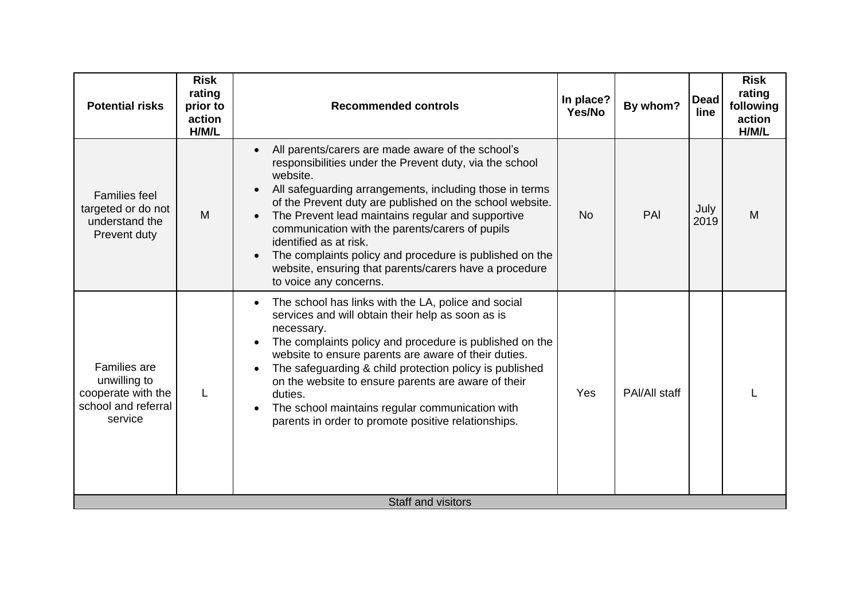| <b>Potential risks</b>                                                                      | <b>Risk</b><br>rating<br>prior to<br>action<br>H/M/L | <b>Recommended controls</b>                                                                                                                                                                                                                                                                                                                                                                                                                                                                                                                   | In place?<br>Yes/No | By whom?      | <b>Dead</b><br>line | <b>Risk</b><br>rating<br>following<br>action<br>H/M/L |
|---------------------------------------------------------------------------------------------|------------------------------------------------------|-----------------------------------------------------------------------------------------------------------------------------------------------------------------------------------------------------------------------------------------------------------------------------------------------------------------------------------------------------------------------------------------------------------------------------------------------------------------------------------------------------------------------------------------------|---------------------|---------------|---------------------|-------------------------------------------------------|
| <b>Families feel</b><br>targeted or do not<br>understand the<br>Prevent duty                | M                                                    | All parents/carers are made aware of the school's<br>responsibilities under the Prevent duty, via the school<br>website.<br>All safeguarding arrangements, including those in terms<br>$\bullet$<br>of the Prevent duty are published on the school website.<br>The Prevent lead maintains regular and supportive<br>communication with the parents/carers of pupils<br>identified as at risk.<br>The complaints policy and procedure is published on the<br>website, ensuring that parents/carers have a procedure<br>to voice any concerns. | <b>No</b>           | PAI           | July<br>2019        | M                                                     |
| <b>Families are</b><br>unwilling to<br>cooperate with the<br>school and referral<br>service |                                                      | The school has links with the LA, police and social<br>$\bullet$<br>services and will obtain their help as soon as is<br>necessary.<br>The complaints policy and procedure is published on the<br>website to ensure parents are aware of their duties.<br>The safeguarding & child protection policy is published<br>on the website to ensure parents are aware of their<br>duties.<br>The school maintains regular communication with<br>parents in order to promote positive relationships.                                                 | Yes                 | PAI/All staff |                     |                                                       |
|                                                                                             |                                                      | Staff and visitors                                                                                                                                                                                                                                                                                                                                                                                                                                                                                                                            |                     |               |                     |                                                       |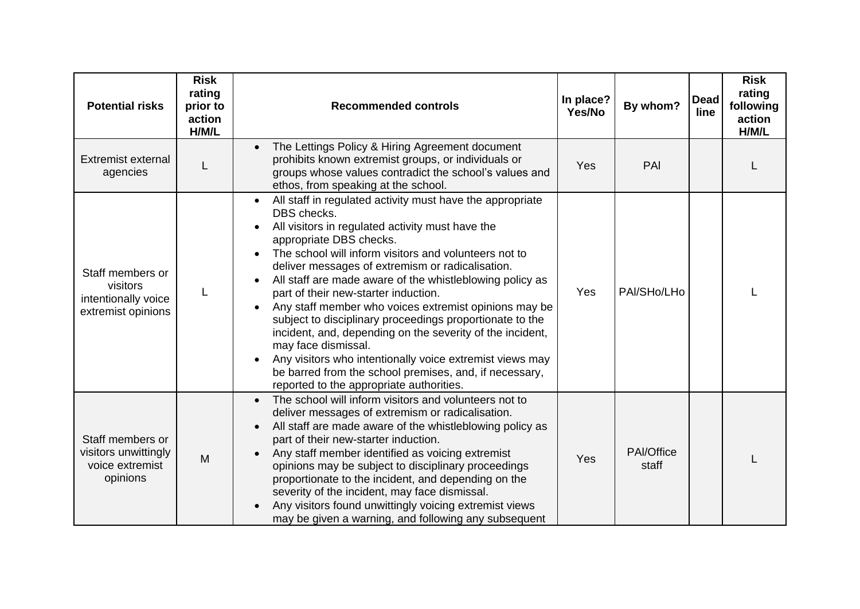| <b>Potential risks</b>                                                    | <b>Risk</b><br>rating<br>prior to<br>action<br>H/M/L | <b>Recommended controls</b>                                                                                                                                                                                                                                                                                                                                                                                                                                                                                                                                                                                                                                                                                                                         | In place?<br>Yes/No | By whom?            | <b>Dead</b><br>line | <b>Risk</b><br>rating<br>following<br>action<br>H/M/L |
|---------------------------------------------------------------------------|------------------------------------------------------|-----------------------------------------------------------------------------------------------------------------------------------------------------------------------------------------------------------------------------------------------------------------------------------------------------------------------------------------------------------------------------------------------------------------------------------------------------------------------------------------------------------------------------------------------------------------------------------------------------------------------------------------------------------------------------------------------------------------------------------------------------|---------------------|---------------------|---------------------|-------------------------------------------------------|
| <b>Extremist external</b><br>agencies                                     | L                                                    | The Lettings Policy & Hiring Agreement document<br>$\bullet$<br>prohibits known extremist groups, or individuals or<br>groups whose values contradict the school's values and<br>ethos, from speaking at the school.                                                                                                                                                                                                                                                                                                                                                                                                                                                                                                                                | Yes                 | PAI                 |                     |                                                       |
| Staff members or<br>visitors<br>intentionally voice<br>extremist opinions | L                                                    | All staff in regulated activity must have the appropriate<br>DBS checks.<br>All visitors in regulated activity must have the<br>appropriate DBS checks.<br>The school will inform visitors and volunteers not to<br>deliver messages of extremism or radicalisation.<br>All staff are made aware of the whistleblowing policy as<br>part of their new-starter induction.<br>Any staff member who voices extremist opinions may be<br>subject to disciplinary proceedings proportionate to the<br>incident, and, depending on the severity of the incident,<br>may face dismissal.<br>Any visitors who intentionally voice extremist views may<br>be barred from the school premises, and, if necessary,<br>reported to the appropriate authorities. | Yes                 | PAI/SHo/LHo         |                     |                                                       |
| Staff members or<br>visitors unwittingly<br>voice extremist<br>opinions   | M                                                    | The school will inform visitors and volunteers not to<br>$\bullet$<br>deliver messages of extremism or radicalisation.<br>All staff are made aware of the whistleblowing policy as<br>part of their new-starter induction.<br>Any staff member identified as voicing extremist<br>opinions may be subject to disciplinary proceedings<br>proportionate to the incident, and depending on the<br>severity of the incident, may face dismissal.<br>Any visitors found unwittingly voicing extremist views<br>may be given a warning, and following any subsequent                                                                                                                                                                                     | Yes                 | PAI/Office<br>staff |                     |                                                       |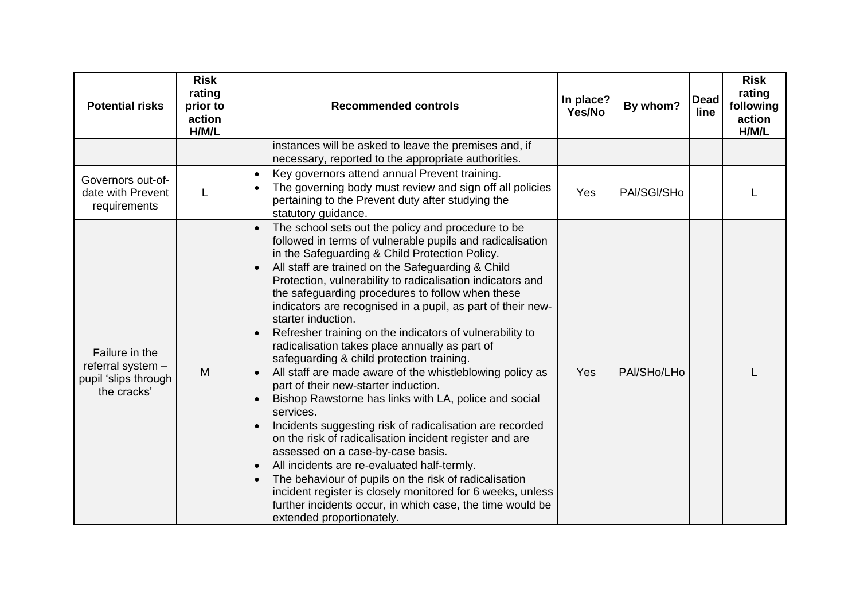| <b>Potential risks</b>                                                     | <b>Risk</b><br>rating<br>prior to<br>action<br>H/M/L | <b>Recommended controls</b>                                                                                                                                                                                                                                                                                                                                                                                                                                                                                                                                                                                                                                                                                                                                                                                                                                                                                                                                                                                                                                                                                                                                                                                                                                     | In place?<br>Yes/No | By whom?    | <b>Dead</b><br>line | <b>Risk</b><br>rating<br>following<br>action<br>H/M/L |
|----------------------------------------------------------------------------|------------------------------------------------------|-----------------------------------------------------------------------------------------------------------------------------------------------------------------------------------------------------------------------------------------------------------------------------------------------------------------------------------------------------------------------------------------------------------------------------------------------------------------------------------------------------------------------------------------------------------------------------------------------------------------------------------------------------------------------------------------------------------------------------------------------------------------------------------------------------------------------------------------------------------------------------------------------------------------------------------------------------------------------------------------------------------------------------------------------------------------------------------------------------------------------------------------------------------------------------------------------------------------------------------------------------------------|---------------------|-------------|---------------------|-------------------------------------------------------|
|                                                                            |                                                      | instances will be asked to leave the premises and, if<br>necessary, reported to the appropriate authorities.                                                                                                                                                                                                                                                                                                                                                                                                                                                                                                                                                                                                                                                                                                                                                                                                                                                                                                                                                                                                                                                                                                                                                    |                     |             |                     |                                                       |
| Governors out-of-<br>date with Prevent<br>requirements                     |                                                      | Key governors attend annual Prevent training.<br>The governing body must review and sign off all policies<br>pertaining to the Prevent duty after studying the<br>statutory guidance.                                                                                                                                                                                                                                                                                                                                                                                                                                                                                                                                                                                                                                                                                                                                                                                                                                                                                                                                                                                                                                                                           | Yes                 | PAI/SGI/SHo |                     |                                                       |
| Failure in the<br>referral system -<br>pupil 'slips through<br>the cracks' | M                                                    | The school sets out the policy and procedure to be<br>$\bullet$<br>followed in terms of vulnerable pupils and radicalisation<br>in the Safeguarding & Child Protection Policy.<br>All staff are trained on the Safeguarding & Child<br>$\bullet$<br>Protection, vulnerability to radicalisation indicators and<br>the safeguarding procedures to follow when these<br>indicators are recognised in a pupil, as part of their new-<br>starter induction.<br>Refresher training on the indicators of vulnerability to<br>$\bullet$<br>radicalisation takes place annually as part of<br>safeguarding & child protection training.<br>All staff are made aware of the whistleblowing policy as<br>part of their new-starter induction.<br>Bishop Rawstorne has links with LA, police and social<br>services.<br>Incidents suggesting risk of radicalisation are recorded<br>$\bullet$<br>on the risk of radicalisation incident register and are<br>assessed on a case-by-case basis.<br>All incidents are re-evaluated half-termly.<br>The behaviour of pupils on the risk of radicalisation<br>$\bullet$<br>incident register is closely monitored for 6 weeks, unless<br>further incidents occur, in which case, the time would be<br>extended proportionately. | Yes                 | PAI/SHo/LHo |                     |                                                       |